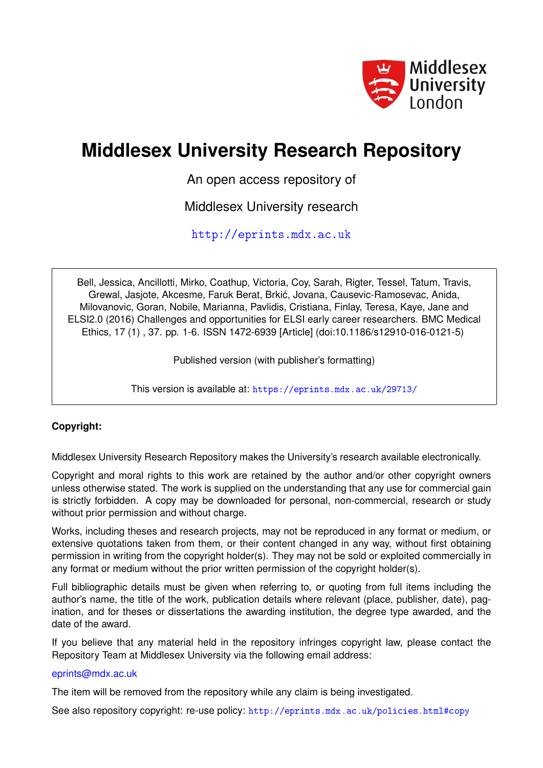

# **Middlesex University Research Repository**

An open access repository of

Middlesex University research

<http://eprints.mdx.ac.uk>

Bell, Jessica, Ancillotti, Mirko, Coathup, Victoria, Coy, Sarah, Rigter, Tessel, Tatum, Travis, Grewal, Jasjote, Akcesme, Faruk Berat, Brkic, Jovana, Causevic-Ramosevac, Anida, ´ Milovanovic, Goran, Nobile, Marianna, Pavlidis, Cristiana, Finlay, Teresa, Kaye, Jane and ELSI2.0 (2016) Challenges and opportunities for ELSI early career researchers. BMC Medical Ethics, 17 (1) , 37. pp. 1-6. ISSN 1472-6939 [Article] (doi:10.1186/s12910-016-0121-5)

Published version (with publisher's formatting)

This version is available at: <https://eprints.mdx.ac.uk/29713/>

# **Copyright:**

Middlesex University Research Repository makes the University's research available electronically.

Copyright and moral rights to this work are retained by the author and/or other copyright owners unless otherwise stated. The work is supplied on the understanding that any use for commercial gain is strictly forbidden. A copy may be downloaded for personal, non-commercial, research or study without prior permission and without charge.

Works, including theses and research projects, may not be reproduced in any format or medium, or extensive quotations taken from them, or their content changed in any way, without first obtaining permission in writing from the copyright holder(s). They may not be sold or exploited commercially in any format or medium without the prior written permission of the copyright holder(s).

Full bibliographic details must be given when referring to, or quoting from full items including the author's name, the title of the work, publication details where relevant (place, publisher, date), pagination, and for theses or dissertations the awarding institution, the degree type awarded, and the date of the award.

If you believe that any material held in the repository infringes copyright law, please contact the Repository Team at Middlesex University via the following email address:

# [eprints@mdx.ac.uk](mailto:eprints@mdx.ac.uk)

The item will be removed from the repository while any claim is being investigated.

See also repository copyright: re-use policy: <http://eprints.mdx.ac.uk/policies.html#copy>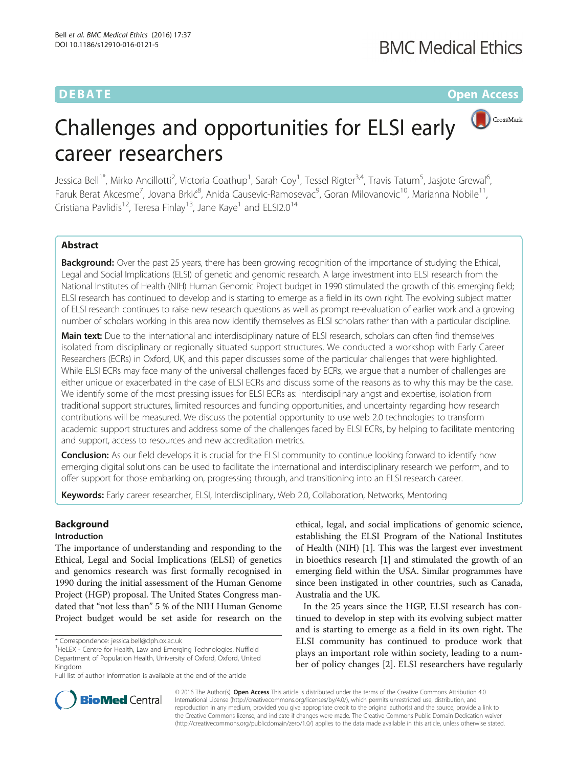**DEBATE CONSERVATION CONSERVATION** 

CrossMark

# Challenges and opportunities for ELSI early career researchers

Jessica Bell<sup>1\*</sup>, Mirko Ancillotti<sup>2</sup>, Victoria Coathup<sup>1</sup>, Sarah Coy<sup>1</sup>, Tessel Rigter<sup>3,4</sup>, Travis Tatum<sup>5</sup>, Jasjote Grewal<sup>6</sup> , Faruk Berat Akcesme<sup>7</sup>, Jovana Brkić<sup>8</sup>, Anida Causevic-Ramosevac<sup>9</sup>, Goran Milovanovic<sup>10</sup>, Marianna Nobile<sup>11</sup>, Cristiana Pavlidis<sup>12</sup>, Teresa Finlay<sup>13</sup>, Jane Kaye<sup>1</sup> and ELSI2.0<sup>14</sup>

# Abstract

**Background:** Over the past 25 years, there has been growing recognition of the importance of studying the Ethical, Legal and Social Implications (ELSI) of genetic and genomic research. A large investment into ELSI research from the National Institutes of Health (NIH) Human Genomic Project budget in 1990 stimulated the growth of this emerging field; ELSI research has continued to develop and is starting to emerge as a field in its own right. The evolving subject matter of ELSI research continues to raise new research questions as well as prompt re-evaluation of earlier work and a growing number of scholars working in this area now identify themselves as ELSI scholars rather than with a particular discipline.

Main text: Due to the international and interdisciplinary nature of ELSI research, scholars can often find themselves isolated from disciplinary or regionally situated support structures. We conducted a workshop with Early Career Researchers (ECRs) in Oxford, UK, and this paper discusses some of the particular challenges that were highlighted. While ELSI ECRs may face many of the universal challenges faced by ECRs, we argue that a number of challenges are either unique or exacerbated in the case of ELSI ECRs and discuss some of the reasons as to why this may be the case. We identify some of the most pressing issues for ELSI ECRs as: interdisciplinary angst and expertise, isolation from traditional support structures, limited resources and funding opportunities, and uncertainty regarding how research contributions will be measured. We discuss the potential opportunity to use web 2.0 technologies to transform academic support structures and address some of the challenges faced by ELSI ECRs, by helping to facilitate mentoring and support, access to resources and new accreditation metrics.

Conclusion: As our field develops it is crucial for the ELSI community to continue looking forward to identify how emerging digital solutions can be used to facilitate the international and interdisciplinary research we perform, and to offer support for those embarking on, progressing through, and transitioning into an ELSI research career.

Keywords: Early career researcher, ELSI, Interdisciplinary, Web 2.0, Collaboration, Networks, Mentoring

# Background

#### Introduction

The importance of understanding and responding to the Ethical, Legal and Social Implications (ELSI) of genetics and genomics research was first formally recognised in 1990 during the initial assessment of the Human Genome Project (HGP) proposal. The United States Congress mandated that "not less than" 5 % of the NIH Human Genome Project budget would be set aside for research on the

<sup>1</sup>HeLEX - Centre for Health, Law and Emerging Technologies, Nuffield Department of Population Health, University of Oxford, Oxford, United Kingdom

ethical, legal, and social implications of genomic science, establishing the ELSI Program of the National Institutes of Health (NIH) [[1](#page-6-0)]. This was the largest ever investment in bioethics research [[1\]](#page-6-0) and stimulated the growth of an emerging field within the USA. Similar programmes have since been instigated in other countries, such as Canada, Australia and the UK.

In the 25 years since the HGP, ELSI research has continued to develop in step with its evolving subject matter and is starting to emerge as a field in its own right. The ELSI community has continued to produce work that plays an important role within society, leading to a number of policy changes [\[2](#page-6-0)]. ELSI researchers have regularly



© 2016 The Author(s). Open Access This article is distributed under the terms of the Creative Commons Attribution 4.0 International License [\(http://creativecommons.org/licenses/by/4.0/](http://creativecommons.org/licenses/by/4.0/)), which permits unrestricted use, distribution, and reproduction in any medium, provided you give appropriate credit to the original author(s) and the source, provide a link to the Creative Commons license, and indicate if changes were made. The Creative Commons Public Domain Dedication waiver [\(http://creativecommons.org/publicdomain/zero/1.0/](http://creativecommons.org/publicdomain/zero/1.0/)) applies to the data made available in this article, unless otherwise stated.

<sup>\*</sup> Correspondence: [jessica.bell@dph.ox.ac.uk](mailto:jessica.bell@dph.ox.ac.uk) <sup>1</sup>

Full list of author information is available at the end of the article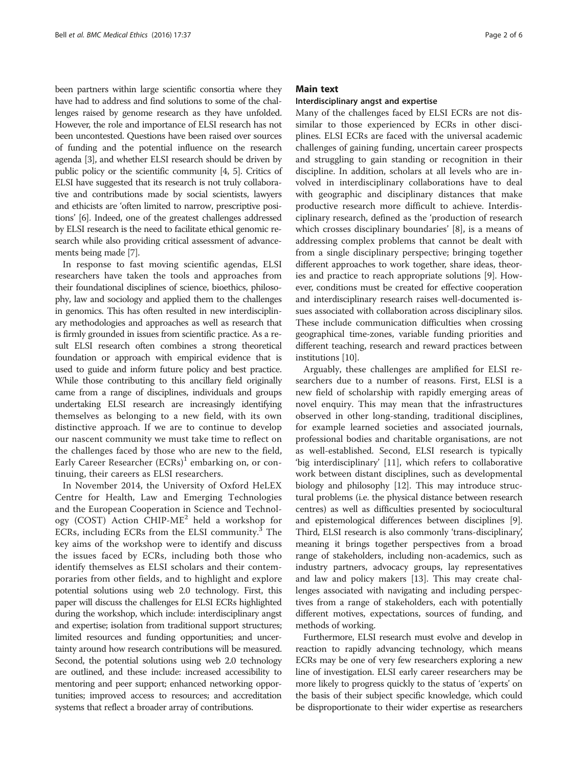been partners within large scientific consortia where they have had to address and find solutions to some of the challenges raised by genome research as they have unfolded. However, the role and importance of ELSI research has not been uncontested. Questions have been raised over sources of funding and the potential influence on the research agenda [\[3\]](#page-6-0), and whether ELSI research should be driven by public policy or the scientific community [[4](#page-6-0), [5\]](#page-6-0). Critics of ELSI have suggested that its research is not truly collaborative and contributions made by social scientists, lawyers and ethicists are 'often limited to narrow, prescriptive positions' [\[6\]](#page-6-0). Indeed, one of the greatest challenges addressed by ELSI research is the need to facilitate ethical genomic research while also providing critical assessment of advancements being made [\[7](#page-6-0)].

In response to fast moving scientific agendas, ELSI researchers have taken the tools and approaches from their foundational disciplines of science, bioethics, philosophy, law and sociology and applied them to the challenges in genomics. This has often resulted in new interdisciplinary methodologies and approaches as well as research that is firmly grounded in issues from scientific practice. As a result ELSI research often combines a strong theoretical foundation or approach with empirical evidence that is used to guide and inform future policy and best practice. While those contributing to this ancillary field originally came from a range of disciplines, individuals and groups undertaking ELSI research are increasingly identifying themselves as belonging to a new field, with its own distinctive approach. If we are to continue to develop our nascent community we must take time to reflect on the challenges faced by those who are new to the field, Early Career Researcher  $(ECRs)^1$  embarking on, or continuing, their careers as ELSI researchers.

In November 2014, the University of Oxford HeLEX Centre for Health, Law and Emerging Technologies and the European Cooperation in Science and Technology (COST) Action CHIP-ME<sup>2</sup> held a workshop for ECRs, including ECRs from the ELSI community.3 The key aims of the workshop were to identify and discuss the issues faced by ECRs, including both those who identify themselves as ELSI scholars and their contemporaries from other fields, and to highlight and explore potential solutions using web 2.0 technology. First, this paper will discuss the challenges for ELSI ECRs highlighted during the workshop, which include: interdisciplinary angst and expertise; isolation from traditional support structures; limited resources and funding opportunities; and uncertainty around how research contributions will be measured. Second, the potential solutions using web 2.0 technology are outlined, and these include: increased accessibility to mentoring and peer support; enhanced networking opportunities; improved access to resources; and accreditation systems that reflect a broader array of contributions.

### Main text

#### Interdisciplinary angst and expertise

Many of the challenges faced by ELSI ECRs are not dissimilar to those experienced by ECRs in other disciplines. ELSI ECRs are faced with the universal academic challenges of gaining funding, uncertain career prospects and struggling to gain standing or recognition in their discipline. In addition, scholars at all levels who are involved in interdisciplinary collaborations have to deal with geographic and disciplinary distances that make productive research more difficult to achieve. Interdisciplinary research, defined as the 'production of research which crosses disciplinary boundaries' [\[8](#page-6-0)], is a means of addressing complex problems that cannot be dealt with from a single disciplinary perspective; bringing together different approaches to work together, share ideas, theories and practice to reach appropriate solutions [\[9](#page-6-0)]. However, conditions must be created for effective cooperation and interdisciplinary research raises well-documented issues associated with collaboration across disciplinary silos. These include communication difficulties when crossing geographical time-zones, variable funding priorities and different teaching, research and reward practices between institutions [\[10](#page-6-0)].

Arguably, these challenges are amplified for ELSI researchers due to a number of reasons. First, ELSI is a new field of scholarship with rapidly emerging areas of novel enquiry. This may mean that the infrastructures observed in other long-standing, traditional disciplines, for example learned societies and associated journals, professional bodies and charitable organisations, are not as well-established. Second, ELSI research is typically 'big interdisciplinary' [[11\]](#page-6-0), which refers to collaborative work between distant disciplines, such as developmental biology and philosophy [\[12\]](#page-6-0). This may introduce structural problems (i.e. the physical distance between research centres) as well as difficulties presented by sociocultural and epistemological differences between disciplines [[9](#page-6-0)]. Third, ELSI research is also commonly 'trans-disciplinary', meaning it brings together perspectives from a broad range of stakeholders, including non-academics, such as industry partners, advocacy groups, lay representatives and law and policy makers [[13](#page-6-0)]. This may create challenges associated with navigating and including perspectives from a range of stakeholders, each with potentially different motives, expectations, sources of funding, and methods of working.

Furthermore, ELSI research must evolve and develop in reaction to rapidly advancing technology, which means ECRs may be one of very few researchers exploring a new line of investigation. ELSI early career researchers may be more likely to progress quickly to the status of 'experts' on the basis of their subject specific knowledge, which could be disproportionate to their wider expertise as researchers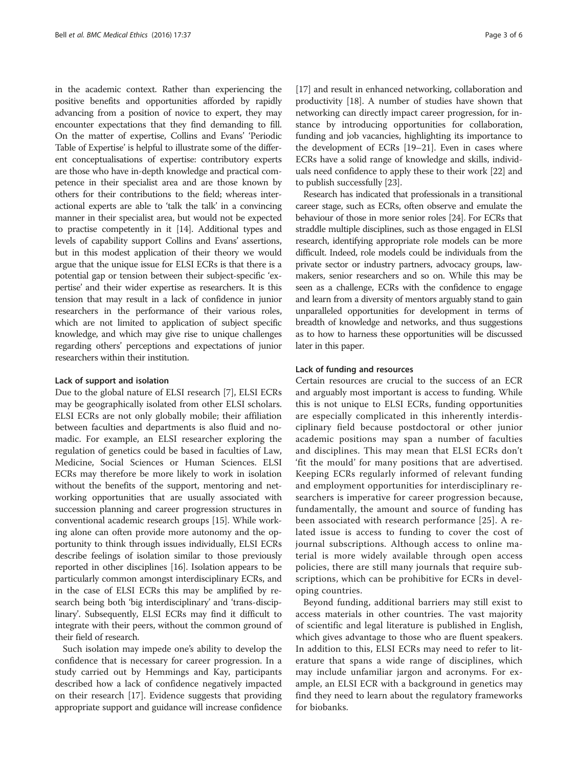in the academic context. Rather than experiencing the positive benefits and opportunities afforded by rapidly advancing from a position of novice to expert, they may encounter expectations that they find demanding to fill. On the matter of expertise, Collins and Evans' 'Periodic Table of Expertise' is helpful to illustrate some of the different conceptualisations of expertise: contributory experts are those who have in-depth knowledge and practical competence in their specialist area and are those known by others for their contributions to the field; whereas interactional experts are able to 'talk the talk' in a convincing manner in their specialist area, but would not be expected to practise competently in it [[14](#page-6-0)]. Additional types and levels of capability support Collins and Evans' assertions, but in this modest application of their theory we would argue that the unique issue for ELSI ECRs is that there is a potential gap or tension between their subject-specific 'expertise' and their wider expertise as researchers. It is this tension that may result in a lack of confidence in junior researchers in the performance of their various roles, which are not limited to application of subject specific knowledge, and which may give rise to unique challenges regarding others' perceptions and expectations of junior researchers within their institution.

#### Lack of support and isolation

Due to the global nature of ELSI research [\[7](#page-6-0)], ELSI ECRs may be geographically isolated from other ELSI scholars. ELSI ECRs are not only globally mobile; their affiliation between faculties and departments is also fluid and nomadic. For example, an ELSI researcher exploring the regulation of genetics could be based in faculties of Law, Medicine, Social Sciences or Human Sciences. ELSI ECRs may therefore be more likely to work in isolation without the benefits of the support, mentoring and networking opportunities that are usually associated with succession planning and career progression structures in conventional academic research groups [[15](#page-6-0)]. While working alone can often provide more autonomy and the opportunity to think through issues individually, ELSI ECRs describe feelings of isolation similar to those previously reported in other disciplines [[16](#page-6-0)]. Isolation appears to be particularly common amongst interdisciplinary ECRs, and in the case of ELSI ECRs this may be amplified by research being both 'big interdisciplinary' and 'trans-disciplinary'. Subsequently, ELSI ECRs may find it difficult to integrate with their peers, without the common ground of their field of research.

Such isolation may impede one's ability to develop the confidence that is necessary for career progression. In a study carried out by Hemmings and Kay, participants described how a lack of confidence negatively impacted on their research [\[17\]](#page-6-0). Evidence suggests that providing appropriate support and guidance will increase confidence

[[17](#page-6-0)] and result in enhanced networking, collaboration and productivity [\[18\]](#page-6-0). A number of studies have shown that networking can directly impact career progression, for instance by introducing opportunities for collaboration, funding and job vacancies, highlighting its importance to the development of ECRs [\[19](#page-6-0)–[21](#page-6-0)]. Even in cases where ECRs have a solid range of knowledge and skills, individuals need confidence to apply these to their work [\[22\]](#page-6-0) and to publish successfully [[23](#page-6-0)].

Research has indicated that professionals in a transitional career stage, such as ECRs, often observe and emulate the behaviour of those in more senior roles [\[24\]](#page-6-0). For ECRs that straddle multiple disciplines, such as those engaged in ELSI research, identifying appropriate role models can be more difficult. Indeed, role models could be individuals from the private sector or industry partners, advocacy groups, lawmakers, senior researchers and so on. While this may be seen as a challenge, ECRs with the confidence to engage and learn from a diversity of mentors arguably stand to gain unparalleled opportunities for development in terms of breadth of knowledge and networks, and thus suggestions as to how to harness these opportunities will be discussed later in this paper.

#### Lack of funding and resources

Certain resources are crucial to the success of an ECR and arguably most important is access to funding. While this is not unique to ELSI ECRs, funding opportunities are especially complicated in this inherently interdisciplinary field because postdoctoral or other junior academic positions may span a number of faculties and disciplines. This may mean that ELSI ECRs don't 'fit the mould' for many positions that are advertised. Keeping ECRs regularly informed of relevant funding and employment opportunities for interdisciplinary researchers is imperative for career progression because, fundamentally, the amount and source of funding has been associated with research performance [[25\]](#page-6-0). A related issue is access to funding to cover the cost of journal subscriptions. Although access to online material is more widely available through open access policies, there are still many journals that require subscriptions, which can be prohibitive for ECRs in developing countries.

Beyond funding, additional barriers may still exist to access materials in other countries. The vast majority of scientific and legal literature is published in English, which gives advantage to those who are fluent speakers. In addition to this, ELSI ECRs may need to refer to literature that spans a wide range of disciplines, which may include unfamiliar jargon and acronyms. For example, an ELSI ECR with a background in genetics may find they need to learn about the regulatory frameworks for biobanks.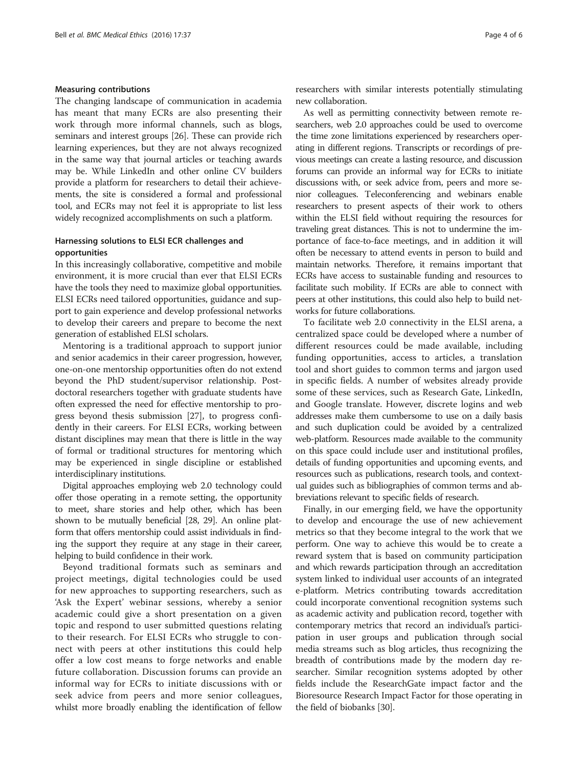# Measuring contributions

The changing landscape of communication in academia has meant that many ECRs are also presenting their work through more informal channels, such as blogs, seminars and interest groups [[26](#page-6-0)]. These can provide rich learning experiences, but they are not always recognized in the same way that journal articles or teaching awards may be. While LinkedIn and other online CV builders provide a platform for researchers to detail their achievements, the site is considered a formal and professional tool, and ECRs may not feel it is appropriate to list less widely recognized accomplishments on such a platform.

### Harnessing solutions to ELSI ECR challenges and opportunities

In this increasingly collaborative, competitive and mobile environment, it is more crucial than ever that ELSI ECRs have the tools they need to maximize global opportunities. ELSI ECRs need tailored opportunities, guidance and support to gain experience and develop professional networks to develop their careers and prepare to become the next generation of established ELSI scholars.

Mentoring is a traditional approach to support junior and senior academics in their career progression, however, one-on-one mentorship opportunities often do not extend beyond the PhD student/supervisor relationship. Postdoctoral researchers together with graduate students have often expressed the need for effective mentorship to progress beyond thesis submission [[27](#page-6-0)], to progress confidently in their careers. For ELSI ECRs, working between distant disciplines may mean that there is little in the way of formal or traditional structures for mentoring which may be experienced in single discipline or established interdisciplinary institutions.

Digital approaches employing web 2.0 technology could offer those operating in a remote setting, the opportunity to meet, share stories and help other, which has been shown to be mutually beneficial [\[28](#page-6-0), [29\]](#page-6-0). An online platform that offers mentorship could assist individuals in finding the support they require at any stage in their career, helping to build confidence in their work.

Beyond traditional formats such as seminars and project meetings, digital technologies could be used for new approaches to supporting researchers, such as 'Ask the Expert' webinar sessions, whereby a senior academic could give a short presentation on a given topic and respond to user submitted questions relating to their research. For ELSI ECRs who struggle to connect with peers at other institutions this could help offer a low cost means to forge networks and enable future collaboration. Discussion forums can provide an informal way for ECRs to initiate discussions with or seek advice from peers and more senior colleagues, whilst more broadly enabling the identification of fellow researchers with similar interests potentially stimulating new collaboration.

As well as permitting connectivity between remote researchers, web 2.0 approaches could be used to overcome the time zone limitations experienced by researchers operating in different regions. Transcripts or recordings of previous meetings can create a lasting resource, and discussion forums can provide an informal way for ECRs to initiate discussions with, or seek advice from, peers and more senior colleagues. Teleconferencing and webinars enable researchers to present aspects of their work to others within the ELSI field without requiring the resources for traveling great distances. This is not to undermine the importance of face-to-face meetings, and in addition it will often be necessary to attend events in person to build and maintain networks. Therefore, it remains important that ECRs have access to sustainable funding and resources to facilitate such mobility. If ECRs are able to connect with peers at other institutions, this could also help to build networks for future collaborations.

To facilitate web 2.0 connectivity in the ELSI arena, a centralized space could be developed where a number of different resources could be made available, including funding opportunities, access to articles, a translation tool and short guides to common terms and jargon used in specific fields. A number of websites already provide some of these services, such as Research Gate, LinkedIn, and Google translate. However, discrete logins and web addresses make them cumbersome to use on a daily basis and such duplication could be avoided by a centralized web-platform. Resources made available to the community on this space could include user and institutional profiles, details of funding opportunities and upcoming events, and resources such as publications, research tools, and contextual guides such as bibliographies of common terms and abbreviations relevant to specific fields of research.

Finally, in our emerging field, we have the opportunity to develop and encourage the use of new achievement metrics so that they become integral to the work that we perform. One way to achieve this would be to create a reward system that is based on community participation and which rewards participation through an accreditation system linked to individual user accounts of an integrated e-platform. Metrics contributing towards accreditation could incorporate conventional recognition systems such as academic activity and publication record, together with contemporary metrics that record an individual's participation in user groups and publication through social media streams such as blog articles, thus recognizing the breadth of contributions made by the modern day researcher. Similar recognition systems adopted by other fields include the ResearchGate impact factor and the Bioresource Research Impact Factor for those operating in the field of biobanks [\[30\]](#page-6-0).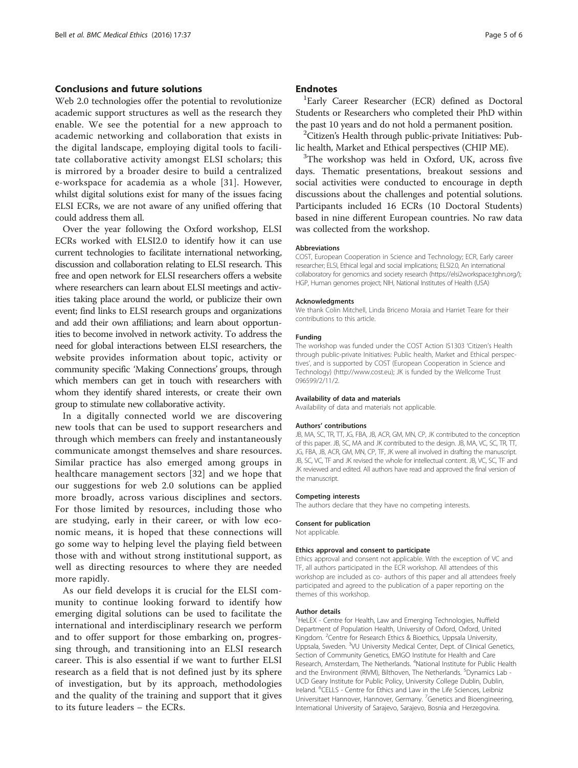### Conclusions and future solutions

Web 2.0 technologies offer the potential to revolutionize academic support structures as well as the research they enable. We see the potential for a new approach to academic networking and collaboration that exists in the digital landscape, employing digital tools to facilitate collaborative activity amongst ELSI scholars; this is mirrored by a broader desire to build a centralized e-workspace for academia as a whole [[31\]](#page-6-0). However, whilst digital solutions exist for many of the issues facing ELSI ECRs, we are not aware of any unified offering that could address them all.

Over the year following the Oxford workshop, ELSI ECRs worked with ELSI2.0 to identify how it can use current technologies to facilitate international networking, discussion and collaboration relating to ELSI research. This free and open network for ELSI researchers offers a website where researchers can learn about ELSI meetings and activities taking place around the world, or publicize their own event; find links to ELSI research groups and organizations and add their own affiliations; and learn about opportunities to become involved in network activity. To address the need for global interactions between ELSI researchers, the website provides information about topic, activity or community specific 'Making Connections' groups, through which members can get in touch with researchers with whom they identify shared interests, or create their own group to stimulate new collaborative activity.

In a digitally connected world we are discovering new tools that can be used to support researchers and through which members can freely and instantaneously communicate amongst themselves and share resources. Similar practice has also emerged among groups in healthcare management sectors [\[32](#page-6-0)] and we hope that our suggestions for web 2.0 solutions can be applied more broadly, across various disciplines and sectors. For those limited by resources, including those who are studying, early in their career, or with low economic means, it is hoped that these connections will go some way to helping level the playing field between those with and without strong institutional support, as well as directing resources to where they are needed more rapidly.

As our field develops it is crucial for the ELSI community to continue looking forward to identify how emerging digital solutions can be used to facilitate the international and interdisciplinary research we perform and to offer support for those embarking on, progressing through, and transitioning into an ELSI research career. This is also essential if we want to further ELSI research as a field that is not defined just by its sphere of investigation, but by its approach, methodologies and the quality of the training and support that it gives to its future leaders – the ECRs.

#### **Endnotes**

<sup>1</sup>Early Career Researcher (ECR) defined as Doctoral Students or Researchers who completed their PhD within the past 10 years and do not hold a permanent position.

 ${}^{2}$ Citizen's Health through public-private Initiatives: Public health, Market and Ethical perspectives (CHIP ME).

 $3$ The workshop was held in Oxford, UK, across five days. Thematic presentations, breakout sessions and social activities were conducted to encourage in depth discussions about the challenges and potential solutions. Participants included 16 ECRs (10 Doctoral Students) based in nine different European countries. No raw data was collected from the workshop.

#### Abbreviations

COST, European Cooperation in Science and Technology; ECR, Early career researcher; ELSI, Ethical legal and social implications; ELSI2.0, An international collaboratory for genomics and society research (https://elsi2workspace.tghn.org/); HGP, Human genomes project; NIH, National Institutes of Health (USA)

#### Acknowledgments

We thank Colin Mitchell, Linda Briceno Moraia and Harriet Teare for their contributions to this article.

#### Funding

The workshop was funded under the COST Action IS1303 'Citizen's Health through public-private Initiatives: Public health, Market and Ethical perspectives', and is supported by COST (European Cooperation in Science and Technology) [\(http://www.cost.eu\)](http://www.cost.eu); JK is funded by the Wellcome Trust 096599/2/11/2.

#### Availability of data and materials

Availability of data and materials not applicable.

#### Authors' contributions

JB, MA, SC, TR, TT, JG, FBA, JB, ACR, GM, MN, CP, JK contributed to the conception of this paper. JB, SC, MA and JK contributed to the design. JB, MA, VC, SC, TR, TT, JG, FBA, JB, ACR, GM, MN, CP, TF, JK were all involved in drafting the manuscript. JB, SC, VC, TF and JK revised the whole for intellectual content. JB, VC, SC, TF and JK reviewed and edited. All authors have read and approved the final version of the manuscript.

#### Competing interests

The authors declare that they have no competing interests.

#### Consent for publication

Not applicable.

#### Ethics approval and consent to participate

Ethics approval and consent not applicable. With the exception of VC and TF, all authors participated in the ECR workshop. All attendees of this workshop are included as co- authors of this paper and all attendees freely participated and agreed to the publication of a paper reporting on the themes of this workshop.

#### Author details

<sup>1</sup>HeLEX - Centre for Health, Law and Emerging Technologies, Nuffield Department of Population Health, University of Oxford, Oxford, United Kingdom. <sup>2</sup> Centre for Research Ethics & Bioethics, Uppsala University, Uppsala, Sweden. <sup>3</sup>VU University Medical Center, Dept. of Clinical Genetics, Section of Community Genetics, EMGO Institute for Health and Care Research, Amsterdam, The Netherlands. <sup>4</sup>National Institute for Public Health and the Environment (RIVM), Bilthoven, The Netherlands. <sup>5</sup>Dynamics Lab -UCD Geary Institute for Public Policy, University College Dublin, Dublin, Ireland. <sup>6</sup>CELLS - Centre for Ethics and Law in the Life Sciences, Leibniz Universitaet Hannover, Hannover, Germany. <sup>7</sup> Genetics and Bioengineering International University of Sarajevo, Sarajevo, Bosnia and Herzegovina.